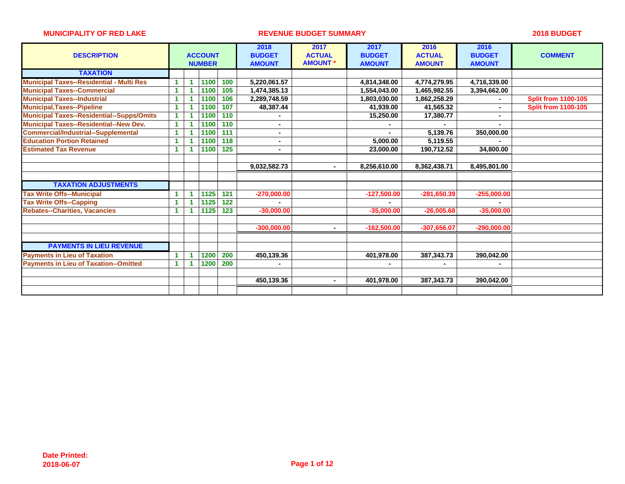| <b>DESCRIPTION</b>                               |                      | <b>ACCOUNT</b><br><b>NUMBER</b> |      |     | 2018<br><b>BUDGET</b><br><b>AMOUNT</b> | 2017<br><b>ACTUAL</b><br><b>AMOUNT</b> | 2017<br><b>BUDGET</b><br><b>AMOUNT</b> | 2016<br><b>ACTUAL</b><br><b>AMOUNT</b> | 2016<br><b>BUDGET</b><br><b>AMOUNT</b> | <b>COMMENT</b>             |
|--------------------------------------------------|----------------------|---------------------------------|------|-----|----------------------------------------|----------------------------------------|----------------------------------------|----------------------------------------|----------------------------------------|----------------------------|
| <b>TAXATION</b>                                  |                      |                                 |      |     |                                        |                                        |                                        |                                        |                                        |                            |
| <b>Municipal Taxes--Residential - Multi Res</b>  |                      |                                 | 1100 | 100 | 5,220,061.57                           |                                        | 4,814,348.00                           | 4,774,279.95                           | 4,716,339.00                           |                            |
| <b>Municipal Taxes--Commercial</b>               | 1                    |                                 | 1100 | 105 | 1,474,385.13                           |                                        | 1,554,043.00                           | 1,465,982.55                           | 3,394,662.00                           |                            |
| <b>Municipal Taxes--Industrial</b>               |                      |                                 | 1100 | 106 | 2,289,748.59                           |                                        | 1,803,030.00                           | 1,862,258.29                           |                                        | <b>Split from 1100-105</b> |
| <b>Municipal, Taxes--Pipeline</b>                | $\blacktriangleleft$ |                                 | 1100 | 107 | 48,387.44                              |                                        | 41,939.00                              | 41,565.32                              |                                        | <b>Split from 1100-105</b> |
| <b>Municipal Taxes--Residential--Supps/Omits</b> | $\blacktriangleleft$ |                                 | 1100 | 110 |                                        |                                        | 15,250.00                              | 17,380.77                              |                                        |                            |
| <b>Municipal Taxes--Residential--New Dev.</b>    | 1                    |                                 | 1100 | 110 | $\blacksquare$                         |                                        |                                        |                                        |                                        |                            |
| <b>Commercial/Industrial--Supplemental</b>       |                      |                                 | 1100 | 111 |                                        |                                        |                                        | 5,139.76                               | 350,000.00                             |                            |
| <b>Education Portion Retained</b>                |                      |                                 | 1100 | 118 |                                        |                                        | 5,000.00                               | 5,119.55                               |                                        |                            |
| <b>Estimated Tax Revenue</b>                     |                      |                                 | 1100 | 125 |                                        |                                        | 23,000.00                              | 190,712.52                             | 34,800.00                              |                            |
|                                                  |                      |                                 |      |     |                                        |                                        |                                        |                                        |                                        |                            |
|                                                  |                      |                                 |      |     | 9,032,582.73                           |                                        | 8,256,610.00                           | 8,362,438.71                           | 8,495,801.00                           |                            |
|                                                  |                      |                                 |      |     |                                        |                                        |                                        |                                        |                                        |                            |
| <b>TAXATION ADJUSTMENTS</b>                      |                      |                                 |      |     |                                        |                                        |                                        |                                        |                                        |                            |
| <b>Tax Write Offs--Municipal</b>                 |                      |                                 | 1125 | 121 | $-270,000.00$                          |                                        | $-127,500.00$                          | $-281,650.39$                          | $-255,000.00$                          |                            |
| <b>Tax Write Offs--Capping</b>                   |                      |                                 | 1125 | 122 |                                        |                                        |                                        |                                        |                                        |                            |
| <b>Rebates--Charities, Vacancies</b>             | 1                    |                                 | 1125 | 123 | $-30,000.00$                           |                                        | $-35,000.00$                           | $-26,005.68$                           | $-35,000,00$                           |                            |
|                                                  |                      |                                 |      |     |                                        |                                        |                                        |                                        |                                        |                            |
|                                                  |                      |                                 |      |     | $-300,000.00$                          |                                        | $-162,500.00$                          | $-307,656.07$                          | $-290,000.00$                          |                            |
|                                                  |                      |                                 |      |     |                                        |                                        |                                        |                                        |                                        |                            |
| <b>PAYMENTS IN LIEU REVENUE</b>                  |                      |                                 |      |     |                                        |                                        |                                        |                                        |                                        |                            |
| <b>Payments in Lieu of Taxation</b>              |                      |                                 | 1200 | 200 | 450,139.36                             |                                        | 401,978.00                             | 387, 343. 73                           | 390,042.00                             |                            |
| <b>Payments in Lieu of Taxation--Omitted</b>     | 1                    |                                 | 1200 | 200 |                                        |                                        |                                        |                                        |                                        |                            |
|                                                  |                      |                                 |      |     |                                        |                                        |                                        |                                        |                                        |                            |
|                                                  |                      |                                 |      |     | 450,139.36                             | $\blacksquare$                         | 401,978.00                             | 387,343.73                             | 390,042.00                             |                            |
|                                                  |                      |                                 |      |     |                                        |                                        |                                        |                                        |                                        |                            |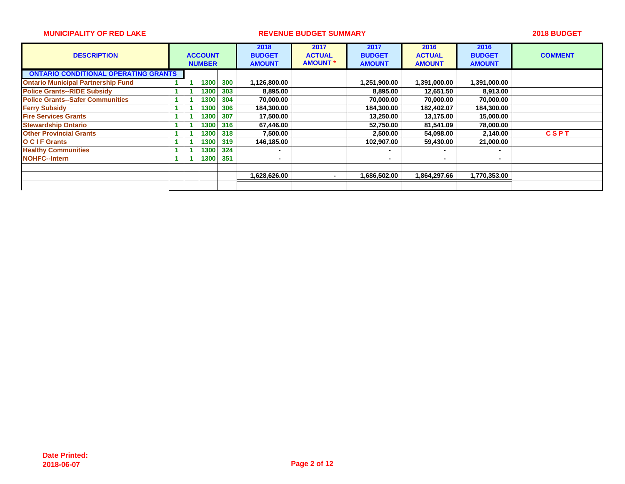| <b>DESCRIPTION</b>                          |  | <b>ACCOUNT</b><br><b>NUMBER</b> |     | 2018<br><b>BUDGET</b><br><b>AMOUNT</b> | 2017<br><b>ACTUAL</b><br><b>AMOUNT</b> | 2017<br><b>BUDGET</b><br><b>AMOUNT</b> | 2016<br><b>ACTUAL</b><br><b>AMOUNT</b> | 2016<br><b>BUDGET</b><br><b>AMOUNT</b> | <b>COMMENT</b> |
|---------------------------------------------|--|---------------------------------|-----|----------------------------------------|----------------------------------------|----------------------------------------|----------------------------------------|----------------------------------------|----------------|
| <b>ONTARIO CONDITIONAL OPERATING GRANTS</b> |  |                                 |     |                                        |                                        |                                        |                                        |                                        |                |
| <b>Ontario Municipal Partnership Fund</b>   |  | 1300                            | 300 | 1,126,800.00                           |                                        | 1,251,900.00                           | 1,391,000.00                           | 1,391,000.00                           |                |
| <b>Police Grants--RIDE Subsidy</b>          |  | 1300                            | 303 | 8,895.00                               |                                        | 8,895.00                               | 12,651.50                              | 8,913.00                               |                |
| <b>Police Grants--Safer Communities</b>     |  | 1300                            | 304 | 70,000.00                              |                                        | 70,000.00                              | 70,000.00                              | 70,000.00                              |                |
| <b>Ferry Subsidy</b>                        |  | 1300                            | 306 | 184,300.00                             |                                        | 184,300.00                             | 182,402.07                             | 184,300.00                             |                |
| <b>Fire Services Grants</b>                 |  | 1300                            | 307 | 17,500.00                              |                                        | 13,250.00                              | 13,175.00                              | 15,000.00                              |                |
| <b>Stewardship Ontario</b>                  |  | 1300                            | 316 | 67,446.00                              |                                        | 52,750.00                              | 81,541.09                              | 78,000.00                              |                |
| <b>Other Provincial Grants</b>              |  | 1300                            | 318 | 7,500.00                               |                                        | 2,500.00                               | 54,098.00                              | 2,140.00                               | <b>CSPT</b>    |
| <b>O C I F Grants</b>                       |  | 1300                            | 319 | 146,185.00                             |                                        | 102,907.00                             | 59,430.00                              | 21,000.00                              |                |
| <b>Healthy Communities</b>                  |  | 1300                            | 324 | $\blacksquare$                         |                                        |                                        |                                        |                                        |                |
| <b>NOHFC--Intern</b>                        |  | 1300                            | 351 | $\blacksquare$                         |                                        |                                        | $\blacksquare$                         | $\blacksquare$                         |                |
|                                             |  |                                 |     |                                        |                                        |                                        |                                        |                                        |                |
|                                             |  |                                 |     | 1,628,626.00                           |                                        | 1,686,502.00                           | 1,864,297.66                           | 1,770,353.00                           |                |
|                                             |  |                                 |     |                                        |                                        |                                        |                                        |                                        |                |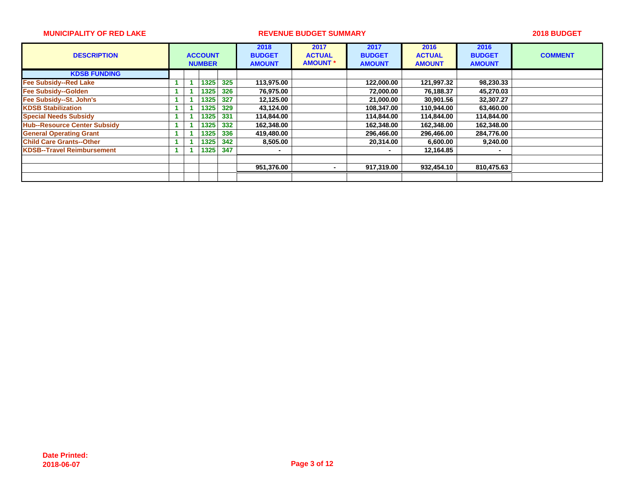| <b>DESCRIPTION</b>                  |  | <b>ACCOUNT</b><br><b>NUMBER</b> |     | 2018<br><b>BUDGET</b><br><b>AMOUNT</b> | 2017<br><b>ACTUAL</b><br><b>AMOUNT</b> | 2017<br><b>BUDGET</b><br><b>AMOUNT</b> | 2016<br><b>ACTUAL</b><br><b>AMOUNT</b> | 2016<br><b>BUDGET</b><br><b>AMOUNT</b> | <b>COMMENT</b> |
|-------------------------------------|--|---------------------------------|-----|----------------------------------------|----------------------------------------|----------------------------------------|----------------------------------------|----------------------------------------|----------------|
| <b>KDSB FUNDING</b>                 |  |                                 |     |                                        |                                        |                                        |                                        |                                        |                |
| <b>Fee Subsidy--Red Lake</b>        |  | 1325                            | 325 | 113,975.00                             |                                        | 122,000.00                             | 121,997.32                             | 98,230.33                              |                |
| <b>Fee Subsidy--Golden</b>          |  | 1325                            | 326 | 76,975.00                              |                                        | 72,000.00                              | 76,188.37                              | 45,270.03                              |                |
| Fee Subsidy--St. John's             |  | 1325                            | 327 | 12,125.00                              |                                        | 21,000.00                              | 30,901.56                              | 32,307.27                              |                |
| <b>KDSB Stabilization</b>           |  | 1325                            | 329 | 43.124.00                              |                                        | 108.347.00                             | 110.944.00                             | 63,460.00                              |                |
| <b>Special Needs Subsidy</b>        |  | 1325                            | 331 | 114,844.00                             |                                        | 114,844.00                             | 114.844.00                             | 114,844.00                             |                |
| <b>Hub--Resource Center Subsidy</b> |  | 1325                            | 332 | 162,348.00                             |                                        | 162,348.00                             | 162,348.00                             | 162,348.00                             |                |
| <b>General Operating Grant</b>      |  | 1325                            | 336 | 419,480.00                             |                                        | 296,466.00                             | 296,466.00                             | 284,776.00                             |                |
| <b>Child Care Grants--Other</b>     |  | 1325                            | 342 | 8,505.00                               |                                        | 20,314.00                              | 6,600.00                               | 9,240.00                               |                |
| <b>KDSB--Travel Reimbursement</b>   |  | 1325                            | 347 |                                        |                                        |                                        | 12,164.85                              | $\overline{\phantom{a}}$               |                |
|                                     |  |                                 |     |                                        |                                        |                                        |                                        |                                        |                |
|                                     |  |                                 |     | 951,376.00                             | ٠                                      | 917,319.00                             | 932,454.10                             | 810,475.63                             |                |
|                                     |  |                                 |     |                                        |                                        |                                        |                                        |                                        |                |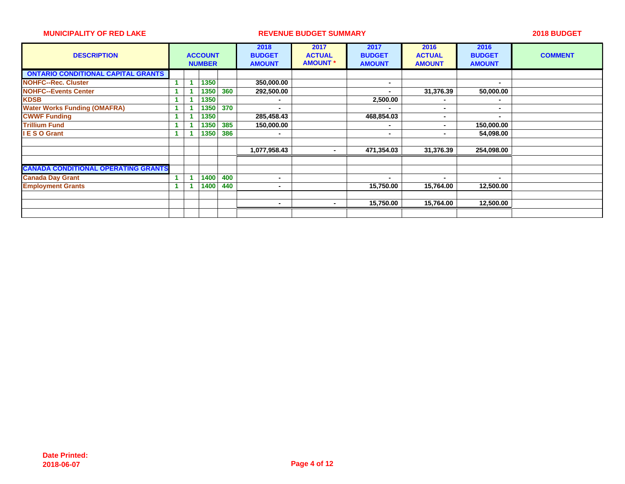| <b>DESCRIPTION</b>                         |  | <b>ACCOUNT</b><br><b>NUMBER</b> |     | 2018<br><b>BUDGET</b><br><b>AMOUNT</b> | 2017<br><b>ACTUAL</b><br><b>AMOUNT *</b> | 2017<br><b>BUDGET</b><br><b>AMOUNT</b> | 2016<br><b>ACTUAL</b><br><b>AMOUNT</b> | 2016<br><b>BUDGET</b><br><b>AMOUNT</b> | <b>COMMENT</b> |
|--------------------------------------------|--|---------------------------------|-----|----------------------------------------|------------------------------------------|----------------------------------------|----------------------------------------|----------------------------------------|----------------|
| <b>ONTARIO CONDITIONAL CAPITAL GRANTS</b>  |  |                                 |     |                                        |                                          |                                        |                                        |                                        |                |
| <b>NOHFC--Rec. Cluster</b>                 |  | 1350                            |     | 350,000.00                             |                                          |                                        |                                        |                                        |                |
| <b>NOHFC--Events Center</b>                |  | 1350                            | 360 | 292,500.00                             |                                          |                                        | 31,376.39                              | 50,000.00                              |                |
| <b>KDSB</b>                                |  | 1350                            |     |                                        |                                          | 2,500.00                               | $\blacksquare$                         |                                        |                |
| <b>Water Works Funding (OMAFRA)</b>        |  | 1350                            | 370 |                                        |                                          |                                        | ٠                                      |                                        |                |
| <b>CWWF Funding</b>                        |  | 1350                            |     | 285,458.43                             |                                          | 468,854.03                             | $\blacksquare$                         | $\blacksquare$                         |                |
| <b>Trillium Fund</b>                       |  | 1350                            | 385 | 150,000.00                             |                                          |                                        | $\blacksquare$                         | 150,000.00                             |                |
| <b>IESO Grant</b>                          |  | 1350                            | 386 | $\blacksquare$                         |                                          |                                        | ۰                                      | 54,098.00                              |                |
|                                            |  |                                 |     |                                        |                                          |                                        |                                        |                                        |                |
|                                            |  |                                 |     | 1,077,958.43                           | $\blacksquare$                           | 471,354.03                             | 31,376.39                              | 254,098.00                             |                |
|                                            |  |                                 |     |                                        |                                          |                                        |                                        |                                        |                |
| <b>CANADA CONDITIONAL OPERATING GRANTS</b> |  |                                 |     |                                        |                                          |                                        |                                        |                                        |                |
| <b>Canada Day Grant</b>                    |  | 1400                            | 400 | $\overline{\phantom{a}}$               |                                          |                                        | ٠                                      | $\,$ $\,$                              |                |
| <b>Employment Grants</b>                   |  | 1400                            | 440 | $\blacksquare$                         |                                          | 15,750.00                              | 15,764.00                              | 12,500.00                              |                |
|                                            |  |                                 |     |                                        |                                          |                                        |                                        |                                        |                |
|                                            |  |                                 |     | ۰                                      | $\sim$                                   | 15,750.00                              | 15,764.00                              | 12,500.00                              |                |
|                                            |  |                                 |     |                                        |                                          |                                        |                                        |                                        |                |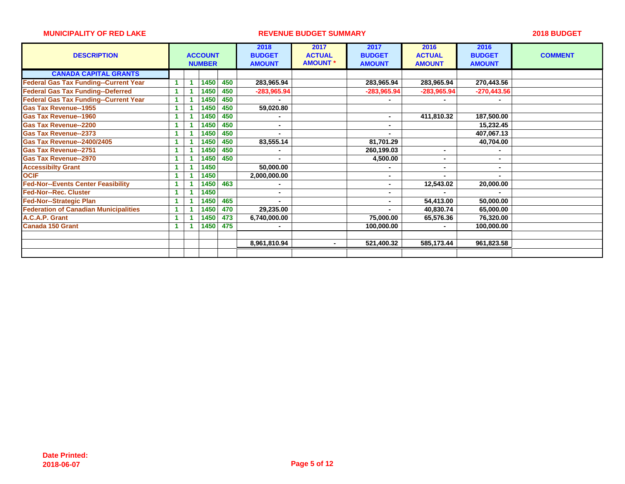| <b>DESCRIPTION</b>                           |  | <b>ACCOUNT</b><br><b>NUMBER</b> |     | 2018<br><b>BUDGET</b><br><b>AMOUNT</b> | 2017<br><b>ACTUAL</b><br><b>AMOUNT *</b> | 2017<br><b>BUDGET</b><br><b>AMOUNT</b> | 2016<br><b>ACTUAL</b><br><b>AMOUNT</b> | 2016<br><b>BUDGET</b><br><b>AMOUNT</b> | <b>COMMENT</b> |
|----------------------------------------------|--|---------------------------------|-----|----------------------------------------|------------------------------------------|----------------------------------------|----------------------------------------|----------------------------------------|----------------|
| <b>CANADA CAPITAL GRANTS</b>                 |  |                                 |     |                                        |                                          |                                        |                                        |                                        |                |
| <b>Federal Gas Tax Funding--Current Year</b> |  | 1450                            | 450 | 283,965.94                             |                                          | 283,965.94                             | 283,965.94                             | 270,443.56                             |                |
| <b>Federal Gas Tax Funding--Deferred</b>     |  | 1450                            | 450 | -283,965.94                            |                                          | -283,965.94                            | -283,965.94                            | $-270,443.56$                          |                |
| <b>Federal Gas Tax Funding--Current Year</b> |  | 1450                            | 450 |                                        |                                          |                                        |                                        |                                        |                |
| <b>Gas Tax Revenue--1955</b>                 |  | 1450                            | 450 | 59,020.80                              |                                          |                                        |                                        |                                        |                |
| <b>Gas Tax Revenue--1960</b>                 |  | 1450                            | 450 | $\blacksquare$                         |                                          | $\blacksquare$                         | 411,810.32                             | 187,500.00                             |                |
| <b>Gas Tax Revenue--2200</b>                 |  | 1450                            | 450 | $\blacksquare$                         |                                          |                                        |                                        | 15,232.45                              |                |
| <b>Gas Tax Revenue--2373</b>                 |  | 1450                            | 450 |                                        |                                          |                                        |                                        | 407,067.13                             |                |
| <b>Gas Tax Revenue--2400/2405</b>            |  | 1450                            | 450 | 83,555.14                              |                                          | 81,701.29                              |                                        | 40,704.00                              |                |
| <b>Gas Tax Revenue--2751</b>                 |  | 1450                            | 450 |                                        |                                          | 260,199.03                             | $\blacksquare$                         |                                        |                |
| <b>Gas Tax Revenue--2970</b>                 |  | 1450                            | 450 | $\blacksquare$                         |                                          | 4,500.00                               | $\blacksquare$                         |                                        |                |
| <b>Accessibilty Grant</b>                    |  | 1450                            |     | 50,000.00                              |                                          |                                        |                                        |                                        |                |
| <b>OCIF</b>                                  |  | 1450                            |     | 2,000,000.00                           |                                          | $\blacksquare$                         |                                        |                                        |                |
| <b>Fed-Nor--Events Center Feasibility</b>    |  | 1450                            | 463 |                                        |                                          |                                        | 12,543.02                              | 20,000.00                              |                |
| <b>Fed-Nor--Rec. Cluster</b>                 |  | 1450                            |     | $\blacksquare$                         |                                          | $\blacksquare$                         | $\blacksquare$                         | $\blacksquare$                         |                |
| <b>Fed-Nor--Strategic Plan</b>               |  | 1450                            | 465 |                                        |                                          | $\blacksquare$                         | 54,413.00                              | 50,000.00                              |                |
| <b>Federation of Canadian Municipalities</b> |  | 1450                            | 470 | 29,235.00                              |                                          |                                        | 40,830.74                              | 65,000.00                              |                |
| A.C.A.P. Grant                               |  | 1450                            | 473 | 6,740,000.00                           |                                          | 75,000.00                              | 65,576.36                              | 76,320.00                              |                |
| <b>Canada 150 Grant</b>                      |  | 1450                            | 475 |                                        |                                          | 100,000.00                             |                                        | 100,000.00                             |                |
|                                              |  |                                 |     |                                        |                                          |                                        |                                        |                                        |                |
|                                              |  |                                 |     | 8,961,810.94                           | $\blacksquare$                           | 521,400.32                             | 585,173.44                             | 961,823.58                             |                |
|                                              |  |                                 |     |                                        |                                          |                                        |                                        |                                        |                |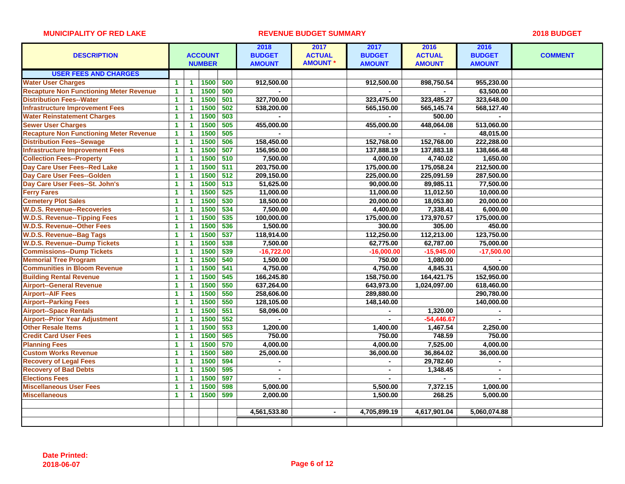|                                                |                      |                      |                |     | 2018           | 2017           | 2017           | 2016          | 2016           |                |
|------------------------------------------------|----------------------|----------------------|----------------|-----|----------------|----------------|----------------|---------------|----------------|----------------|
| <b>DESCRIPTION</b>                             |                      |                      | <b>ACCOUNT</b> |     | <b>BUDGET</b>  | <b>ACTUAL</b>  | <b>BUDGET</b>  | <b>ACTUAL</b> | <b>BUDGET</b>  | <b>COMMENT</b> |
|                                                |                      |                      | <b>NUMBER</b>  |     | <b>AMOUNT</b>  | <b>AMOUNT*</b> | <b>AMOUNT</b>  | <b>AMOUNT</b> | <b>AMOUNT</b>  |                |
| <b>USER FEES AND CHARGES</b>                   |                      |                      |                |     |                |                |                |               |                |                |
| <b>Water User Charges</b>                      | 1                    | 1                    | 1500           | 500 | 912,500.00     |                | 912,500.00     | 898,750.54    | 955,230.00     |                |
| <b>Recapture Non Functioning Meter Revenue</b> | $\blacktriangleleft$ | 1                    | 1500           | 500 |                |                |                |               | 63,500.00      |                |
| <b>Distribution Fees--Water</b>                | $\mathbf{1}$         | 1                    | 1500           | 501 | 327,700.00     |                | 323,475.00     | 323,485.27    | 323,648.00     |                |
| <b>Infrastructure Improvement Fees</b>         | $\mathbf{1}$         | -1                   | 1500           | 502 | 538,200.00     |                | 565,150.00     | 565,145.74    | 568,127.40     |                |
| <b>Water Reinstatement Charges</b>             | $\mathbf{1}$         | 1                    | 1500           | 503 | $\mathbf{r}$   |                |                | 500.00        | $\overline{a}$ |                |
| <b>Sewer User Charges</b>                      | $\mathbf{1}$         | $\blacktriangleleft$ | 1500           | 505 | 455,000.00     |                | 455,000.00     | 448,064.08    | 513,060.00     |                |
| <b>Recapture Non Functioning Meter Revenue</b> | $\mathbf{1}$         | 1                    | 1500           | 505 |                |                |                |               | 48,015.00      |                |
| <b>Distribution Fees--Sewage</b>               | $\mathbf{1}$         | 1                    | 1500           | 506 | 158,450.00     |                | 152,768.00     | 152,768.00    | 222,288.00     |                |
| <b>Infrastructure Improvement Fees</b>         | $\mathbf{1}$         | 1                    | 1500           | 507 | 156,950.00     |                | 137,888.19     | 137,883.18    | 138,666.48     |                |
| <b>Collection Fees--Property</b>               | $\mathbf{1}$         | 1                    | 1500           | 510 | 7,500.00       |                | 4,000.00       | 4,740.02      | 1,650.00       |                |
| Day Care User Fees--Red Lake                   | $\blacktriangleleft$ | 1                    | 1500           | 511 | 203,750.00     |                | 175,000.00     | 175,058.24    | 212,500.00     |                |
| Day Care User Fees--Golden                     | $\mathbf{1}$         | 1                    | 1500           | 512 | 209,150.00     |                | 225,000.00     | 225,091.59    | 287,500.00     |                |
| Day Care User Fees--St. John's                 | $\mathbf{1}$         | $\blacktriangleleft$ | 1500           | 513 | 51,625.00      |                | 90,000.00      | 89,985.11     | 77,500.00      |                |
| <b>Ferry Fares</b>                             | 1                    | 1                    | 1500           | 525 | 11,000.00      |                | 11,000.00      | 11,012.50     | 10,000.00      |                |
| <b>Cemetery Plot Sales</b>                     | 1                    | 1                    | 1500           | 530 | 18,500.00      |                | 20,000.00      | 18,053.80     | 20,000.00      |                |
| <b>W.D.S. Revenue--Recoveries</b>              | $\mathbf{1}$         | 1                    | 1500           | 534 | 7,500.00       |                | 4,400.00       | 7,338.41      | 6,000.00       |                |
| <b>W.D.S. Revenue--Tipping Fees</b>            | $\blacktriangleleft$ | 1                    | 1500           | 535 | 100,000.00     |                | 175,000.00     | 173,970.57    | 175,000.00     |                |
| <b>W.D.S. Revenue--Other Fees</b>              | $\mathbf{1}$         | 1                    | 1500           | 536 | 1,500.00       |                | 300.00         | 305.00        | 450.00         |                |
| <b>W.D.S. Revenue--Bag Tags</b>                | $\mathbf{1}$         | $\blacktriangleleft$ | 1500           | 537 | 118,914.00     |                | 112,250.00     | 112,213.00    | 123,750.00     |                |
| <b>W.D.S. Revenue--Dump Tickets</b>            | $\mathbf{1}$         | 1                    | 1500           | 538 | 7,500.00       |                | 62,775.00      | 62,787.00     | 75,000.00      |                |
| <b>Commissions--Dump Tickets</b>               | $\mathbf{1}$         | 1                    | 1500           | 539 | $-16,722.00$   |                | $-16,000.00$   | $-15,945.00$  | $-17,500.00$   |                |
| <b>Memorial Tree Program</b>                   | $\mathbf{1}$         | 1                    | 1500           | 540 | 1,500.00       |                | 750.00         | 1,080.00      |                |                |
| <b>Communities in Bloom Revenue</b>            | $\mathbf{1}$         | 1                    | 1500           | 541 | 4,750.00       |                | 4,750.00       | 4,845.31      | 4,500.00       |                |
| <b>Building Rental Revenue</b>                 | $\blacktriangleleft$ | 1                    | 1500           | 545 | 166,245.80     |                | 158,750.00     | 164,421.75    | 152,950.00     |                |
| <b>Airport--General Revenue</b>                | $\mathbf{1}$         | 1                    | 1500           | 550 | 637,264.00     |                | 643,973.00     | 1,024,097.00  | 618,460.00     |                |
| <b>Airport--AIF Fees</b>                       | $\mathbf{1}$         | 1                    | 1500           | 550 | 258,606.00     |                | 289,880.00     |               | 290,780.00     |                |
| <b>Airport--Parking Fees</b>                   | $\mathbf{1}$         | 1                    | 1500           | 550 | 128,105.00     |                | 148,140.00     |               | 140,000.00     |                |
| <b>Airport--Space Rentals</b>                  | $\blacktriangleleft$ | 1                    | 1500           | 551 | 58,096.00      |                |                | 1,320.00      |                |                |
| <b>Airport--Prior Year Adjustment</b>          | $\mathbf{1}$         | 1                    | 1500           | 552 | $\blacksquare$ |                | $\blacksquare$ | $-54,446.67$  |                |                |
| <b>Other Resale Items</b>                      | $\mathbf{1}$         | 1                    | 1500           | 553 | 1,200.00       |                | 1,400.00       | 1,467.54      | 2,250.00       |                |
| <b>Credit Card User Fees</b>                   | $\blacktriangleleft$ | 1                    | 1500           | 565 | 750.00         |                | 750.00         | 748.59        | 750.00         |                |
| <b>Planning Fees</b>                           | $\mathbf{1}$         | 1                    | 1500           | 570 | 4,000.00       |                | 4,000.00       | 7,525.00      | 4,000.00       |                |
| <b>Custom Works Revenue</b>                    | $\blacktriangleleft$ | 1                    | 1500           | 580 | 25,000.00      |                | 36,000.00      | 36,864.02     | 36,000.00      |                |
| <b>Recovery of Legal Fees</b>                  | 1                    | 1                    | 1500           | 594 |                |                |                | 29,782.60     |                |                |
| <b>Recovery of Bad Debts</b>                   | $\mathbf{1}$         | 1                    | 1500           | 595 | $\blacksquare$ |                |                | 1,348.45      |                |                |
| <b>Elections Fees</b>                          | $\blacktriangleleft$ | 1.                   | 1500           | 597 | $\overline{a}$ |                | $\mathbf{r}$   |               | $\blacksquare$ |                |
| <b>Miscellaneous User Fees</b>                 | $\mathbf{1}$         | $\blacktriangleleft$ | 1500           | 598 | 5,000.00       |                | 5,500.00       | 7,372.15      | 1,000.00       |                |
| <b>Miscellaneous</b>                           | $\mathbf{1}$         | $\blacktriangleleft$ | 1500           | 599 | 2,000.00       |                | 1,500.00       | 268.25        | 5,000.00       |                |
|                                                |                      |                      |                |     |                |                |                |               |                |                |
|                                                |                      |                      |                |     | 4,561,533.80   | $\blacksquare$ | 4,705,899.19   | 4,617,901.04  | 5,060,074.88   |                |
|                                                |                      |                      |                |     |                |                |                |               |                |                |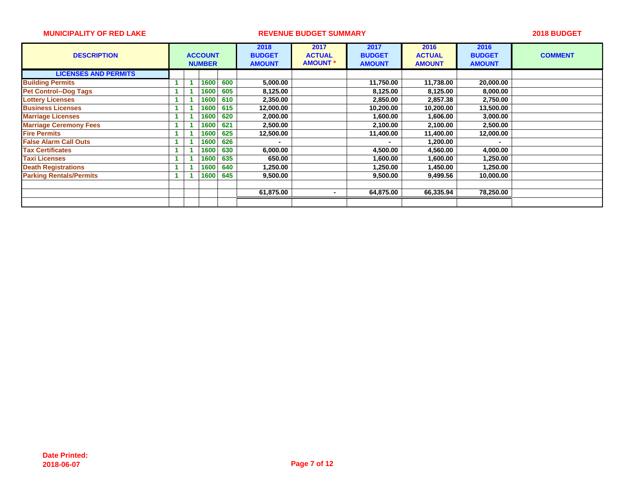| <b>DESCRIPTION</b>             |  | <b>ACCOUNT</b><br><b>NUMBER</b> |      |     |           |                |           | 2018<br><b>BUDGET</b><br><b>AMOUNT</b> | 2017<br><b>ACTUAL</b><br><b>AMOUNT</b> | 2017<br><b>BUDGET</b><br><b>AMOUNT</b> | 2016<br><b>ACTUAL</b><br><b>AMOUNT</b> | 2016<br><b>BUDGET</b><br><b>AMOUNT</b> | <b>COMMENT</b> |
|--------------------------------|--|---------------------------------|------|-----|-----------|----------------|-----------|----------------------------------------|----------------------------------------|----------------------------------------|----------------------------------------|----------------------------------------|----------------|
| <b>LICENSES AND PERMITS</b>    |  |                                 |      |     |           |                |           |                                        |                                        |                                        |                                        |                                        |                |
| <b>Building Permits</b>        |  |                                 | 1600 | 600 | 5,000.00  |                | 11,750.00 | 11,738.00                              | 20,000.00                              |                                        |                                        |                                        |                |
| <b>Pet Control--Dog Tags</b>   |  |                                 | 1600 | 605 | 8,125.00  |                | 8,125.00  | 8,125.00                               | 8,000.00                               |                                        |                                        |                                        |                |
| <b>Lottery Licenses</b>        |  |                                 | 1600 | 610 | 2,350.00  |                | 2,850.00  | 2,857.38                               | 2,750.00                               |                                        |                                        |                                        |                |
| <b>Business Licenses</b>       |  |                                 | 1600 | 615 | 12,000.00 |                | 10,200.00 | 10,200.00                              | 13,500.00                              |                                        |                                        |                                        |                |
| <b>Marriage Licenses</b>       |  |                                 | 1600 | 620 | 2,000.00  |                | 1,600.00  | 1,606.00                               | 3,000.00                               |                                        |                                        |                                        |                |
| <b>Marriage Ceremony Fees</b>  |  |                                 | 1600 | 621 | 2,500.00  |                | 2,100.00  | 2,100.00                               | 2,500.00                               |                                        |                                        |                                        |                |
| <b>Fire Permits</b>            |  |                                 | 1600 | 625 | 12,500.00 |                | 11,400.00 | 11,400.00                              | 12,000.00                              |                                        |                                        |                                        |                |
| <b>False Alarm Call Outs</b>   |  |                                 | 1600 | 626 |           |                |           | 1,200.00                               |                                        |                                        |                                        |                                        |                |
| <b>Tax Certificates</b>        |  |                                 | 1600 | 630 | 6,000.00  |                | 4,500.00  | 4,560.00                               | 4,000.00                               |                                        |                                        |                                        |                |
| <b>Taxi Licenses</b>           |  |                                 | 1600 | 635 | 650.00    |                | 1,600.00  | 1,600.00                               | 1,250.00                               |                                        |                                        |                                        |                |
| <b>Death Registrations</b>     |  |                                 | 1600 | 640 | 1,250.00  |                | 1,250.00  | 1,450.00                               | 1,250.00                               |                                        |                                        |                                        |                |
| <b>Parking Rentals/Permits</b> |  |                                 | 1600 | 645 | 9,500.00  |                | 9,500.00  | 9,499.56                               | 10,000.00                              |                                        |                                        |                                        |                |
|                                |  |                                 |      |     |           |                |           |                                        |                                        |                                        |                                        |                                        |                |
|                                |  |                                 |      |     | 61,875.00 | $\blacksquare$ | 64,875.00 | 66,335.94                              | 78,250.00                              |                                        |                                        |                                        |                |
|                                |  |                                 |      |     |           |                |           |                                        |                                        |                                        |                                        |                                        |                |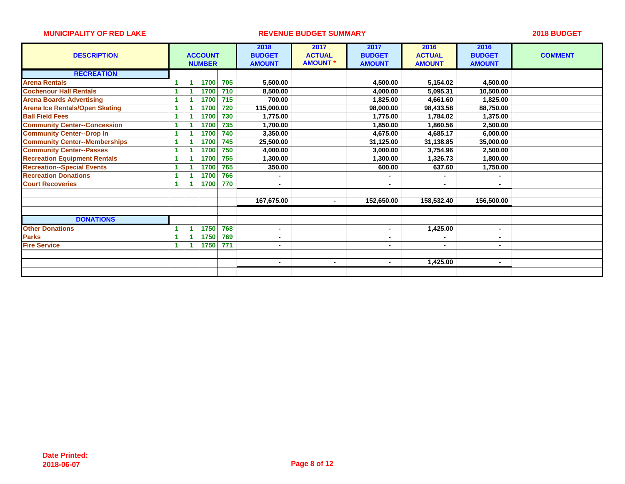| <b>DESCRIPTION</b>                    |    | <b>ACCOUNT</b><br><b>NUMBER</b> |     | 2018<br><b>BUDGET</b><br><b>AMOUNT</b> | 2017<br><b>ACTUAL</b><br><b>AMOUNT *</b> | 2017<br><b>BUDGET</b><br><b>AMOUNT</b> | 2016<br><b>ACTUAL</b><br><b>AMOUNT</b> | 2016<br><b>BUDGET</b><br><b>AMOUNT</b> | <b>COMMENT</b> |
|---------------------------------------|----|---------------------------------|-----|----------------------------------------|------------------------------------------|----------------------------------------|----------------------------------------|----------------------------------------|----------------|
| <b>RECREATION</b>                     |    |                                 |     |                                        |                                          |                                        |                                        |                                        |                |
| <b>Arena Rentals</b>                  |    | 1700                            | 705 | 5,500.00                               |                                          | 4,500.00                               | 5,154.02                               | 4,500.00                               |                |
| <b>Cochenour Hall Rentals</b>         |    | 1700                            | 710 | 8,500.00                               |                                          | 4,000.00                               | 5,095.31                               | 10,500.00                              |                |
| <b>Arena Boards Advertising</b>       |    | 1700                            | 715 | 700.00                                 |                                          | 1,825.00                               | 4,661.60                               | 1,825.00                               |                |
| <b>Arena Ice Rentals/Open Skating</b> |    | 1700                            | 720 | 115,000.00                             |                                          | 98,000.00                              | 98,433.58                              | 88,750.00                              |                |
| <b>Ball Field Fees</b>                |    | 1700                            | 730 | 1,775.00                               |                                          | 1,775.00                               | 1,784.02                               | 1,375.00                               |                |
| <b>Community Center--Concession</b>   |    | 1700                            | 735 | 1,700.00                               |                                          | 1,850.00                               | 1,860.56                               | 2,500.00                               |                |
| <b>Community Center--Drop In</b>      |    | 1700                            | 740 | 3,350.00                               |                                          | 4,675.00                               | 4,685.17                               | 6,000.00                               |                |
| <b>Community Center--Memberships</b>  |    | 1700                            | 745 | 25,500.00                              |                                          | 31,125.00                              | 31,138.85                              | 35,000.00                              |                |
| <b>Community Center--Passes</b>       | 1. | 1700                            | 750 | 4,000.00                               |                                          | 3,000.00                               | 3,754.96                               | 2,500.00                               |                |
| <b>Recreation Equipment Rentals</b>   |    | 1700                            | 755 | 1,300.00                               |                                          | 1,300.00                               | 1,326.73                               | 1,800.00                               |                |
| <b>Recreation--Special Events</b>     |    | 1700                            | 765 | 350.00                                 |                                          | 600.00                                 | 637.60                                 | 1,750.00                               |                |
| <b>Recreation Donations</b>           |    | 1700                            | 766 |                                        |                                          |                                        |                                        |                                        |                |
| <b>Court Recoveries</b>               |    | 1700                            | 770 | $\blacksquare$                         |                                          | $\blacksquare$                         | $\blacksquare$                         |                                        |                |
|                                       |    |                                 |     |                                        |                                          |                                        |                                        |                                        |                |
|                                       |    |                                 |     | 167,675.00                             | $\blacksquare$                           | 152,650.00                             | 158,532.40                             | 156,500.00                             |                |
|                                       |    |                                 |     |                                        |                                          |                                        |                                        |                                        |                |
| <b>DONATIONS</b>                      |    |                                 |     |                                        |                                          |                                        |                                        |                                        |                |
| <b>Other Donations</b>                |    | 1750                            | 768 | $\blacksquare$                         |                                          | ٠                                      | 1,425.00                               | $\blacksquare$                         |                |
| <b>Parks</b>                          |    | 1750                            | 769 | $\blacksquare$                         |                                          | $\blacksquare$                         |                                        |                                        |                |
| <b>Fire Service</b>                   |    | 1750                            | 771 |                                        |                                          | ٠                                      | $\overline{\phantom{a}}$               |                                        |                |
|                                       |    |                                 |     |                                        |                                          |                                        |                                        |                                        |                |
|                                       |    |                                 |     | $\blacksquare$                         | $\sim$                                   | $\blacksquare$                         | 1,425.00                               | $\blacksquare$                         |                |
|                                       |    |                                 |     |                                        |                                          |                                        |                                        |                                        |                |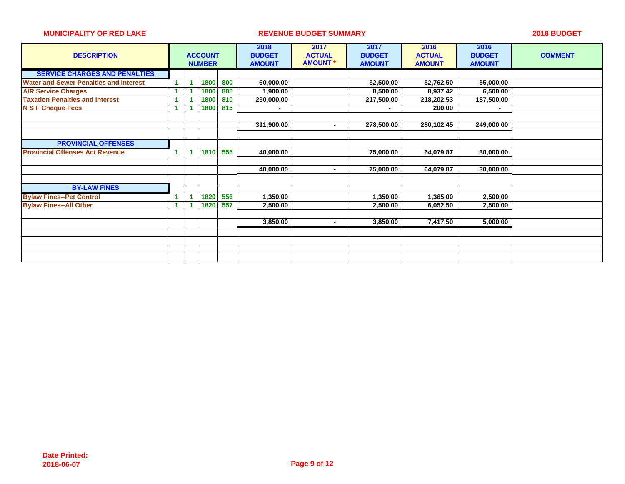| <b>DESCRIPTION</b>                            |  | <b>ACCOUNT</b><br><b>NUMBER</b> |     | 2018<br><b>BUDGET</b><br><b>AMOUNT</b> | 2017<br><b>ACTUAL</b><br><b>AMOUNT *</b> | 2017<br><b>BUDGET</b><br><b>AMOUNT</b> | 2016<br><b>ACTUAL</b><br><b>AMOUNT</b> | 2016<br><b>BUDGET</b><br><b>AMOUNT</b> | <b>COMMENT</b> |
|-----------------------------------------------|--|---------------------------------|-----|----------------------------------------|------------------------------------------|----------------------------------------|----------------------------------------|----------------------------------------|----------------|
| <b>SERVICE CHARGES AND PENALTIES</b>          |  |                                 |     |                                        |                                          |                                        |                                        |                                        |                |
| <b>Water and Sewer Penalties and Interest</b> |  | 1800                            | 800 | 60,000.00                              |                                          | 52,500.00                              | 52,762.50                              | 55,000.00                              |                |
| <b>A/R Service Charges</b>                    |  | 1800                            | 805 | 1,900.00                               |                                          | 8,500.00                               | 8,937.42                               | 6,500.00                               |                |
| <b>Taxation Penalties and Interest</b>        |  | 1800                            | 810 | 250,000.00                             |                                          | 217,500.00                             | 218,202.53                             | 187,500.00                             |                |
| <b>N S F Cheque Fees</b>                      |  | 1800                            | 815 | $\blacksquare$                         |                                          |                                        | 200.00                                 |                                        |                |
|                                               |  |                                 |     |                                        |                                          |                                        |                                        |                                        |                |
|                                               |  |                                 |     | 311,900.00                             | $\blacksquare$                           | 278,500.00                             | 280,102.45                             | 249,000.00                             |                |
|                                               |  |                                 |     |                                        |                                          |                                        |                                        |                                        |                |
| <b>PROVINCIAL OFFENSES</b>                    |  |                                 |     |                                        |                                          |                                        |                                        |                                        |                |
| <b>Provincial Offenses Act Revenue</b>        |  | 1810                            | 555 | 40,000.00                              |                                          | 75,000.00                              | 64,079.87                              | 30,000.00                              |                |
|                                               |  |                                 |     |                                        |                                          |                                        |                                        |                                        |                |
|                                               |  |                                 |     | 40,000.00                              | $\blacksquare$                           | 75,000.00                              | 64,079.87                              | 30,000.00                              |                |
|                                               |  |                                 |     |                                        |                                          |                                        |                                        |                                        |                |
| <b>BY-LAW FINES</b>                           |  |                                 |     |                                        |                                          |                                        |                                        |                                        |                |
| <b>Bylaw Fines--Pet Control</b>               |  | 1820                            | 556 | 1,350.00                               |                                          | 1,350.00                               | 1,365.00                               | 2,500.00                               |                |
| <b>Bylaw Fines--All Other</b>                 |  | 1820                            | 557 | 2,500.00                               |                                          | 2,500.00                               | 6,052.50                               | 2,500.00                               |                |
|                                               |  |                                 |     |                                        |                                          |                                        |                                        |                                        |                |
|                                               |  |                                 |     | 3,850.00                               | $\blacksquare$                           | 3,850.00                               | 7,417.50                               | 5,000.00                               |                |
|                                               |  |                                 |     |                                        |                                          |                                        |                                        |                                        |                |
|                                               |  |                                 |     |                                        |                                          |                                        |                                        |                                        |                |
|                                               |  |                                 |     |                                        |                                          |                                        |                                        |                                        |                |
|                                               |  |                                 |     |                                        |                                          |                                        |                                        |                                        |                |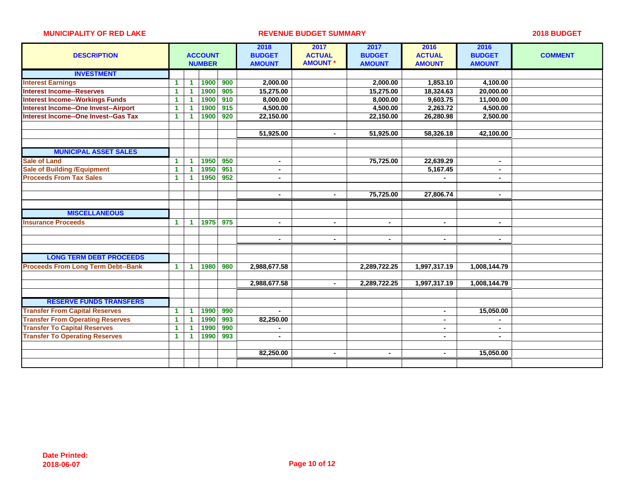| <b>DESCRIPTION</b>                          |                      |                      | <b>ACCOUNT</b><br><b>NUMBER</b> |     | 2018<br><b>BUDGET</b><br><b>AMOUNT</b> | 2017<br><b>ACTUAL</b><br><b>AMOUNT *</b> | 2017<br><b>BUDGET</b><br><b>AMOUNT</b> | 2016<br><b>ACTUAL</b><br><b>AMOUNT</b> | 2016<br><b>BUDGET</b><br><b>AMOUNT</b> | <b>COMMENT</b> |
|---------------------------------------------|----------------------|----------------------|---------------------------------|-----|----------------------------------------|------------------------------------------|----------------------------------------|----------------------------------------|----------------------------------------|----------------|
| <b>INVESTMENT</b>                           |                      |                      |                                 |     |                                        |                                          |                                        |                                        |                                        |                |
| <b>Interest Earnings</b>                    | $\mathbf{1}$         | 1.                   | 1900                            | 900 | 2,000.00                               |                                          | 2,000.00                               | 1,853.10                               | 4,100.00                               |                |
| <b>Interest Income--Reserves</b>            | 1                    |                      | 1900                            | 905 | 15,275.00                              |                                          | 15,275.00                              | 18,324.63                              | 20,000.00                              |                |
| <b>Interest Income--Workings Funds</b>      | 1                    |                      | 1900                            | 910 | 8,000.00                               |                                          | 8,000.00                               | 9,603.75                               | 11,000.00                              |                |
| Interest Income--One Invest--Airport        | 1                    |                      | 1900                            | 915 | 4,500.00                               |                                          | 4,500.00                               | 2,263.72                               | 4,500.00                               |                |
| <b>Interest Income--One Invest--Gas Tax</b> | $\mathbf{1}$         |                      | 1900                            | 920 | 22,150.00                              |                                          | 22,150.00                              | 26,280.98                              | 2,500.00                               |                |
|                                             |                      |                      |                                 |     |                                        |                                          |                                        |                                        |                                        |                |
|                                             |                      |                      |                                 |     | 51,925.00                              | $\blacksquare$                           | 51,925.00                              | 58,326.18                              | 42,100.00                              |                |
|                                             |                      |                      |                                 |     |                                        |                                          |                                        |                                        |                                        |                |
| <b>MUNICIPAL ASSET SALES</b>                |                      |                      |                                 |     |                                        |                                          |                                        |                                        |                                        |                |
| <b>Sale of Land</b>                         | $\mathbf{1}$         | 1                    | 1950                            | 950 | $\blacksquare$                         |                                          | 75,725.00                              | 22,639.29                              | $\blacksquare$                         |                |
| <b>Sale of Building /Equipment</b>          | 1                    |                      | 1950                            | 951 | $\blacksquare$                         |                                          |                                        | 5,167.45                               | $\blacksquare$                         |                |
| <b>Proceeds From Tax Sales</b>              | $\mathbf{1}$         | 1                    | 1950                            | 952 | $\blacksquare$                         |                                          |                                        |                                        | $\blacksquare$                         |                |
|                                             |                      |                      |                                 |     |                                        |                                          |                                        |                                        |                                        |                |
|                                             |                      |                      |                                 |     | $\blacksquare$                         | $\blacksquare$                           | 75,725.00                              | 27,806.74                              | $\blacksquare$                         |                |
|                                             |                      |                      |                                 |     |                                        |                                          |                                        |                                        |                                        |                |
| <b>MISCELLANEOUS</b>                        |                      |                      |                                 |     |                                        |                                          |                                        |                                        |                                        |                |
| <b>Insurance Proceeds</b>                   | $\mathbf{1}$         | $\blacktriangleleft$ | 1975                            | 975 | $\blacksquare$                         | $\blacksquare$                           | $\blacksquare$                         | $\blacksquare$                         | $\blacksquare$                         |                |
|                                             |                      |                      |                                 |     |                                        |                                          |                                        |                                        |                                        |                |
|                                             |                      |                      |                                 |     | $\blacksquare$                         | $\blacksquare$                           | $\blacksquare$                         | $\blacksquare$                         | $\blacksquare$                         |                |
|                                             |                      |                      |                                 |     |                                        |                                          |                                        |                                        |                                        |                |
| <b>LONG TERM DEBT PROCEEDS</b>              |                      |                      |                                 |     |                                        |                                          |                                        |                                        |                                        |                |
| <b>Proceeds From Long Term Debt--Bank</b>   | $\mathbf{1}$         | 1                    | 1980                            | 980 | 2,988,677.58                           |                                          | 2,289,722.25                           | 1,997,317.19                           | 1,008,144.79                           |                |
|                                             |                      |                      |                                 |     |                                        |                                          |                                        |                                        |                                        |                |
|                                             |                      |                      |                                 |     | 2,988,677.58                           | $\blacksquare$                           | 2,289,722.25                           | 1,997,317.19                           | 1,008,144.79                           |                |
|                                             |                      |                      |                                 |     |                                        |                                          |                                        |                                        |                                        |                |
| <b>RESERVE FUNDS TRANSFERS</b>              |                      |                      |                                 |     |                                        |                                          |                                        |                                        |                                        |                |
| <b>Transfer From Capital Reserves</b>       | $\mathbf{1}$         | 1                    | 1990                            | 990 | $\sim$                                 |                                          |                                        | $\overline{\phantom{a}}$               | 15,050.00                              |                |
| <b>Transfer From Operating Reserves</b>     | $\blacktriangleleft$ |                      | 1990                            | 993 | 82,250.00                              |                                          |                                        |                                        |                                        |                |
| <b>Transfer To Capital Reserves</b>         | $\mathbf{1}$         |                      | 1990                            | 990 |                                        |                                          |                                        |                                        |                                        |                |
| <b>Transfer To Operating Reserves</b>       | $\mathbf{1}$         |                      | 1990                            | 993 | $\blacksquare$                         |                                          |                                        |                                        | $\blacksquare$                         |                |
|                                             |                      |                      |                                 |     |                                        |                                          |                                        |                                        |                                        |                |
|                                             |                      |                      |                                 |     | 82,250.00                              | $\blacksquare$                           | $\blacksquare$                         |                                        | 15,050.00                              |                |
|                                             |                      |                      |                                 |     |                                        |                                          |                                        |                                        |                                        |                |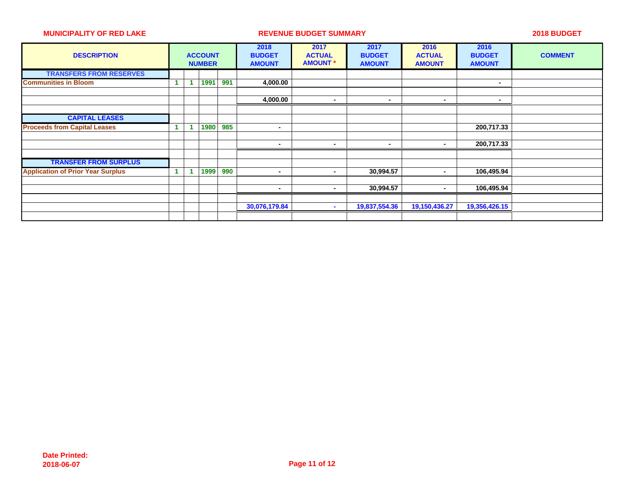| <b>DESCRIPTION</b>                       | <b>ACCOUNT</b><br><b>NUMBER</b> |      | 2018<br><b>BUDGET</b><br><b>AMOUNT</b> | 2017<br><b>ACTUAL</b><br><b>AMOUNT</b> | 2017<br><b>BUDGET</b><br><b>AMOUNT</b> | 2016<br><b>ACTUAL</b><br><b>AMOUNT</b> | 2016<br><b>BUDGET</b><br><b>AMOUNT</b> | <b>COMMENT</b>           |  |
|------------------------------------------|---------------------------------|------|----------------------------------------|----------------------------------------|----------------------------------------|----------------------------------------|----------------------------------------|--------------------------|--|
| <b>TRANSFERS FROM RESERVES</b>           |                                 |      |                                        |                                        |                                        |                                        |                                        |                          |  |
| <b>Communities in Bloom</b>              |                                 | 1991 | 991                                    | 4,000.00                               |                                        |                                        |                                        | $\overline{\phantom{a}}$ |  |
|                                          |                                 |      |                                        |                                        |                                        |                                        |                                        |                          |  |
|                                          |                                 |      |                                        | 4,000.00                               | $\overline{\phantom{a}}$               | $\overline{\phantom{a}}$               | $\blacksquare$                         | $\blacksquare$           |  |
|                                          |                                 |      |                                        |                                        |                                        |                                        |                                        |                          |  |
| <b>CAPITAL LEASES</b>                    |                                 |      |                                        |                                        |                                        |                                        |                                        |                          |  |
| <b>Proceeds from Capital Leases</b>      |                                 | 1980 | 985                                    | $\blacksquare$                         |                                        |                                        |                                        | 200,717.33               |  |
|                                          |                                 |      |                                        |                                        |                                        |                                        |                                        |                          |  |
|                                          |                                 |      |                                        | $\overline{\phantom{a}}$               | ٠                                      | $\blacksquare$                         | $\sim$                                 | 200,717.33               |  |
|                                          |                                 |      |                                        |                                        |                                        |                                        |                                        |                          |  |
| <b>TRANSFER FROM SURPLUS</b>             |                                 |      |                                        |                                        |                                        |                                        |                                        |                          |  |
| <b>Application of Prior Year Surplus</b> |                                 | 1999 | 990                                    | $\overline{\phantom{a}}$               | $\blacksquare$                         | 30,994.57                              | $\sim$                                 | 106,495.94               |  |
|                                          |                                 |      |                                        |                                        |                                        |                                        |                                        |                          |  |
|                                          |                                 |      |                                        | $\overline{\phantom{a}}$               | ٠                                      | 30,994.57                              | ۰.                                     | 106,495.94               |  |
|                                          |                                 |      |                                        |                                        |                                        |                                        |                                        |                          |  |
|                                          |                                 |      |                                        | 30,076,179.84                          | ж.                                     | 19,837,554.36                          | 19,150,436.27                          | 19,356,426.15            |  |
|                                          |                                 |      |                                        |                                        |                                        |                                        |                                        |                          |  |